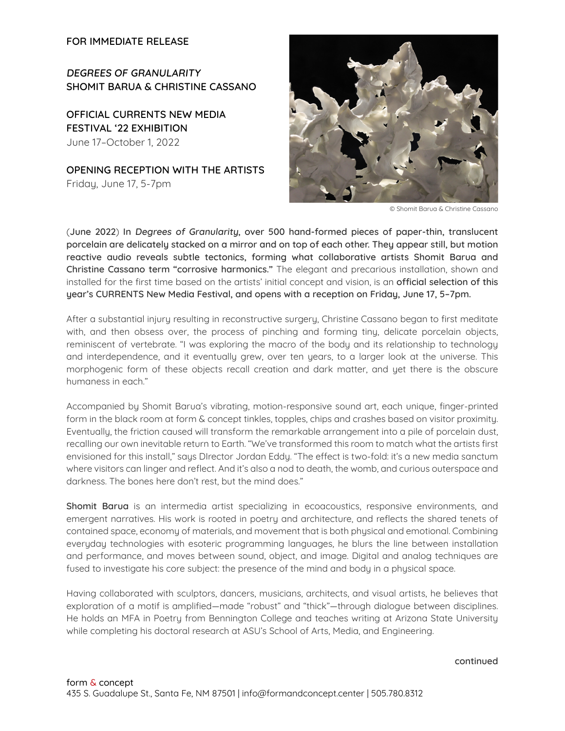**FOR IMMEDIATE RELEASE**

**DEGREES OF GRANULARITY SHOMIT BARUA & CHRISTINE CASSANO**

**OFFICIAL CURRENTS NEW MEDIA FESTIVAL '22 EXHIBITION** June 17–October 1, 2022

**OPENING RECEPTION WITH THE ARTISTS** Friday, June 17, 5-7pm



© Shomit Barua & Christine Cassano

(**June 2022**) **In Degrees of Granularity, over 500 hand-formed pieces of paper-thin, translucent porcelain are delicately stacked on a mirror and on top of each other. They appear still, but motion reactive audio reveals subtle tectonics, forming what collaborative artists Shomit Barua and Christine Cassano term "corrosive harmonics."** The elegant and precarious installation, shown and installed for the first time based on the artists' initial concept and vision, is an **official selection of this year's CURRENTS New Media Festival, and opens with a reception on Friday, June 17, 5–7pm.**

After a substantial injury resulting in reconstructive surgery, Christine Cassano began to first meditate with, and then obsess over, the process of pinching and forming tiny, delicate porcelain objects, reminiscent of vertebrate. "I was exploring the macro of the body and its relationship to technology and interdependence, and it eventually grew, over ten years, to a larger look at the universe. This morphogenic form of these objects recall creation and dark matter, and yet there is the obscure humaness in each."

Accompanied by Shomit Barua's vibrating, motion-responsive sound art, each unique, finger-printed form in the black room at form & concept tinkles, topples, chips and crashes based on visitor proximity. Eventually, the friction caused will transform the remarkable arrangement into a pile of porcelain dust, recalling our own inevitable return to Earth. "We've transformed this room to match what the artists first envisioned for this install," says DIrector Jordan Eddy. "The effect is two-fold: it's a new media sanctum where visitors can linger and reflect. And it's also a nod to death, the womb, and curious outerspace and darkness. The bones here don't rest, but the mind does."

**Shomit Barua** is an intermedia artist specializing in ecoacoustics, responsive environments, and emergent narratives. His work is rooted in poetry and architecture, and reflects the shared tenets of contained space, economy of materials, and movement that is both physical and emotional. Combining everyday technologies with esoteric programming languages, he blurs the line between installation and performance, and moves between sound, object, and image. Digital and analog techniques are fused to investigate his core subject: the presence of the mind and body in a physical space.

Having collaborated with sculptors, dancers, musicians, architects, and visual artists, he believes that exploration of a motif is amplified—made "robust" and "thick"—through dialogue between disciplines. He holds an MFA in Poetry from Bennington College and teaches writing at Arizona State University while completing his doctoral research at ASU's School of Arts, Media, and Engineering.

## **continued**